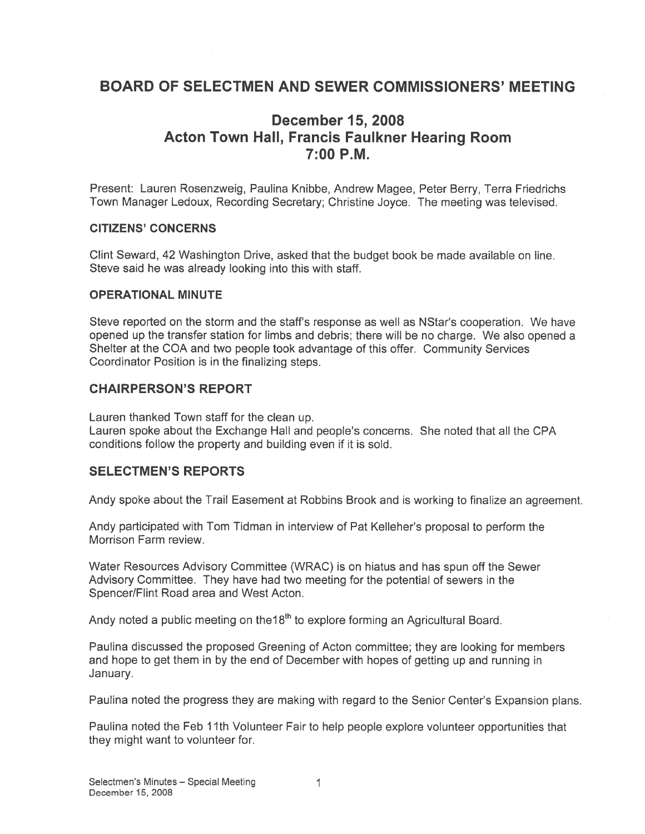## BOARD OF SELECTMEN AND SEWER COMMISSIONERS' MEETING

## December 15, 2008 Acton Town Hall, Francis Faulkner Hearing Room 7:00 P.M.

Present: Lauren Rosenzweig, Paulina Knibbe, Andrew Magee, Peter Berry, Terra Friedrichs Town Manager Ledoux, Recording Secretary; Christine Joyce. The meeting was televised.

#### CITIZENS' CONCERNS

Clint Seward, 42 Washington Drive, asked that the budget book be made available on line. Steve said he was already looking into this with staff.

#### OPERATIONAL MINUTE

Steve reported on the storm and the staff's response as well as NStar's cooperation. We have opened up the transfer station for limbs and debris; there will be no charge. We also opened <sup>a</sup> Shelter at the COA and two people took advantage of this offer. Community Services Coordinator Position is in the finalizing steps.

#### CHAIRPERSON'S REPORT

Lauren thanked Town staff for the clean up.

Lauren spoke about the Exchange Hall and people's concerns. She noted that all the CPA conditions follow the property and building even if it is sold.

### SELECTMEN'S REPORTS

Andy spoke about the Trail Easement at Robbins Brook and is working to finalize an agreement.

Andy participated with Tom Tidman in interview of Pat Kelleher's proposal to perform the Morrison Farm review.

Water Resources Advisory Committee (WRAC) is on hiatus and has spun off the Sewer Advisory Committee. They have had two meeting for the potential of sewers in the Spencer/Flint Road area and West Acton.

Andy noted a public meeting on the18<sup>th</sup> to explore forming an Agricultural Board.

Paulina discussed the proposed Greening of Acton committee; they are looking for members and hope to ge<sup>t</sup> them in by the end of December with hopes of getting up and running in January.

Paulina noted the progress they are making with regard to the Senior Center's Expansion plans.

Paulina noted the Feb 11th Volunteer Fair to help people explore volunteer opportunities that they might want to volunteer for.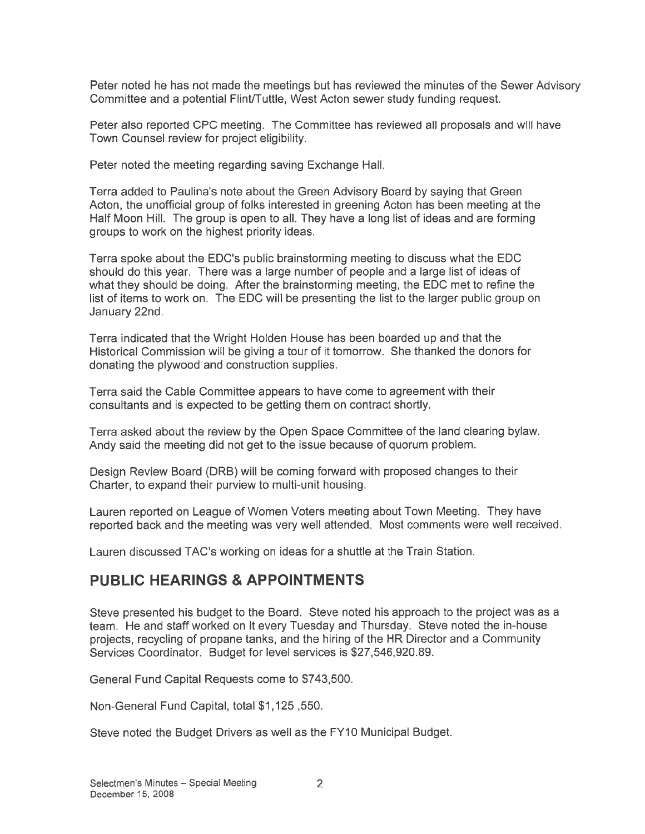Peter noted he has not made the meetings but has reviewed the minutes of the Sewer Advisory Committee and <sup>a</sup> potential Flint/Tuttle, West Acton sewer study funding request.

Peter also reported CPC meeting. The Committee has reviewed all proposals and will have Town Counsel review for project eligibility.

Peter noted the meeting regarding saving Exchange Hall.

Terra added to Paulina's note about the Green Advisory Board by saying that Green Acton, the unofficial group of folks interested in greening Acton has been meeting at the Half Moon Hill. The group is open to all. They have <sup>a</sup> long list of ideas and are forming groups to work on the highest priority ideas.

Terra spoke about the EDC's public brainstorming meeting to discuss what the EDO should do this year. There was <sup>a</sup> large number of people and <sup>a</sup> large list of ideas of what they should be doing. After the brainstorming meeting, the EDC met to refine the list of items to work on. The EDC will be presenting the list to the larger public group on January 22nd.

Terra indicated that the Wright Holden House has been boarded up and that the Historical Commission will be giving <sup>a</sup> tour of it tomorrow. She thanked the donors for donating the plywood and construction supplies.

Terra said the Cable Committee appears to have come to agreemen<sup>t</sup> with their consultants and is expected to be getting them on contract shortly.

Terra asked about the review by the Open Space Committee of the land clearing bylaw. Andy said the meeting did not ge<sup>t</sup> to the issue because of quorum problem.

Design Review Board (DRB) will be coming forward with proposed changes to their Charter, to expand their purview to multi-unit housing.

Lauren reported on League of Women Voters meeting about Town Meeting. They have reported back and the meeting was very well attended. Most comments were well received.

Lauren discussed TAC's working on ideas for <sup>a</sup> shuttle at the Train Station.

## PUBLIC HEARINGS & APPOINTMENTS

Steve presented his budget to the Board. Steve noted his approach to the project was as <sup>a</sup> team. He and staff worked on it every Tuesday and Thursday. Steve noted the in-house projects, recycling of propane tanks, and the hiring of the HR Director and <sup>a</sup> Community Services Coordinator. Budget for level services is \$27,546,920.89.

General Fund Capital Requests come to \$743,500.

Non-General Fund Capital, total \$1,125,550.

Steve noted the Budget Drivers as well as the FY10 Municipal Budget.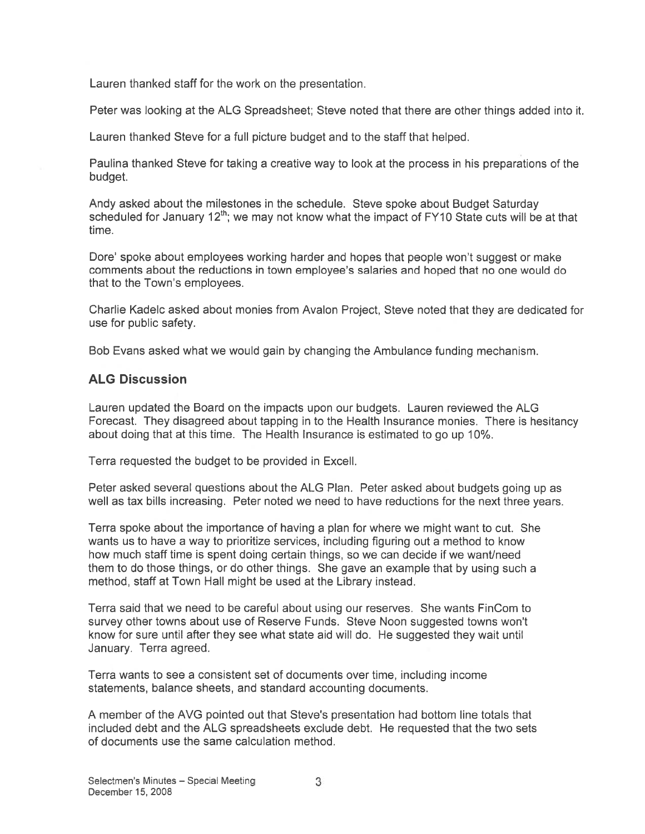Lauren thanked staff for the work on the presentation.

Peter was looking at the ALG Spreadsheet; Steve noted that there are other things added into it.

Lauren thanked Steve for <sup>a</sup> full picture budget and to the staff that helped.

Paulina thanked Steve for taking a creative way to look at the process in his preparations of the budget.

Andy asked about the milestones in the schedule. Steve spoke about Budget Saturday scheduled for January 12<sup>th</sup>; we may not know what the impact of FY10 State cuts will be at that time.

Dote' spoke about employees working harder and hopes that people won't sugges<sup>t</sup> or make comments about the reductions in town employee's salaries and hoped that no one would do that to the Town's employees.

Charlie Kadelc asked about monies from Avalon Project, Steve noted that they are dedicated for use for public safety.

Bob Evans asked what we would gain by changing the Ambulance funding mechanism.

### ALG Discussion

Lauren updated the Board on the impacts upon our budgets. Lauren reviewed the ALG Forecast. They disagreed about tapping in to the Health Insurance monies. There is hesitancy about doing that at this time. The Health Insurance is estimated to go up 10%.

Terra requested the budget to be provided in Excell.

Peter asked several questions about the ALG Plan. Peter asked about budgets going up as well as tax bills increasing. Peter noted we need to have reductions for the next three years.

Terra spoke about the importance of having <sup>a</sup> plan for where we might want to cut. She wants us to have <sup>a</sup> way to prioritize services, including figuring out <sup>a</sup> method to know how much staff time is spen<sup>t</sup> doing certain things, so we can decide if we want/need them to do those things, or do other things. She gave an example that by using such <sup>a</sup> method, staff at Town Hall might be used at the Library instead.

Terra said that we need to be careful about using our reserves. She wants FinCom to survey other towns about use of Reserve Funds. Steve Noon suggested towns won't know for sure until after they see what state aid will do. He suggested they wait until January. Terra agreed.

Terra wants to see <sup>a</sup> consistent set of documents over time, including income statements, balance sheets, and standard accounting documents.

A member of the AVG pointed out that Steve's presentation had bottom line totals that included debt and the ALG spreadsheets exclude debt. He requested that the two sets of documents use the same calculation method.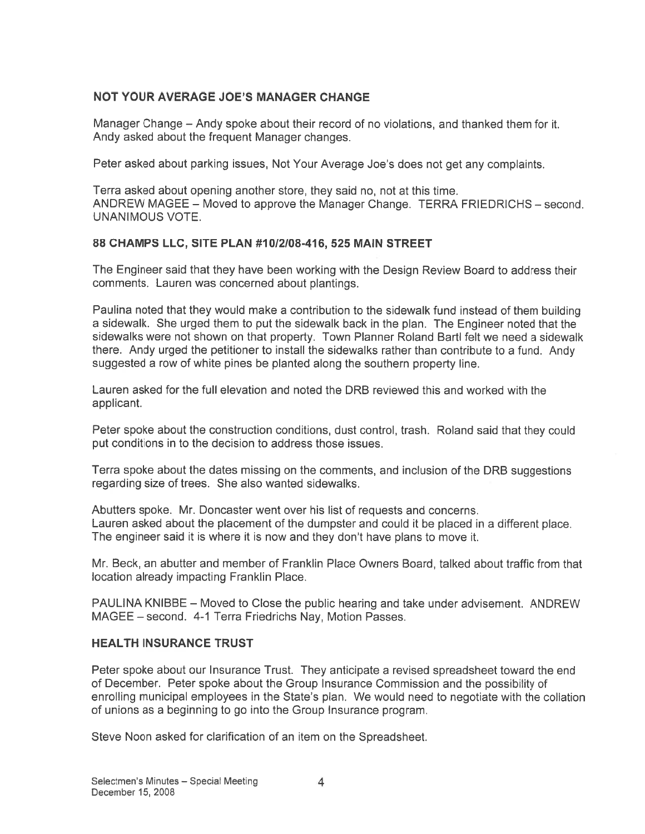### NOT YOUR AVERAGE JOE'S MANAGER CHANGE

Manager Change — Andy spoke about their record of no violations, and thanked them for it. Andy asked about the frequent Manager changes.

Peter asked about parking issues, Not Your Average Joe's does not ge<sup>t</sup> any complaints.

Terra asked about opening another store, they said no, not at this time. ANDREW MAGEE — Moved to approve the Manager Change. TERRA FRIEDRICHS — second. UNANIMOUS VOTE.

### 88 CHAMPS LLC, SITE PLAN #10/2/08-416, 525 MAIN STREET

The Engineer said that they have been working with the Design Review Board to address their comments. Lauren was concerned about plantings.

Paulina noted that they would make <sup>a</sup> contribution to the sidewalk fund instead of them building <sup>a</sup> sidewalk. She urged them to pu<sup>t</sup> the sidewalk back in the <sup>p</sup>lan. The Engineer noted that the sidewalks were not shown on that property. Town Planner Roland Barti felt we need <sup>a</sup> sidewalk there. Andy urged the petitioner to install the sidewalks rather than contribute to <sup>a</sup> fund. Andy suggested <sup>a</sup> row of white pines be planted along the southern property line.

Lauren asked for the full elevation and noted the DRB reviewed this and worked with the applicant.

Peter spoke about the construction conditions, dust control, trash. Roland said that they could pu<sup>t</sup> conditions in to the decision to address those issues.

Terra spoke about the dates missing on the comments, and inclusion of the DRB suggestions regarding size of trees. She also wanted sidewalks.

Abutters spoke. Mr. Doncaster went over his list of requests and concerns. Lauren asked about the placement of the dumpster and could it be placed in <sup>a</sup> different place. The engineer said it is where it is now and they don't have plans to move it.

Mr. Beck, an abutter and member of Franklin Place Owners Board, talked about traffic from that location already impacting Franklin Place.

PAULINA KNIBBE — Moved to Close the public hearing and take under advisement. ANDREW MAGEE — second. 4-1 Terra Friedrichs Nay, Motion Passes.

### HEALTH INSURANCE TRUST

Peter spoke about our Insurance Trust. They anticipate <sup>a</sup> revised spreadsheet toward the end of December. Peter spoke about the Group Insurance Commission and the possibility of enrolling municipal employees in the State's plan. We would need to negotiate with the collation of unions as <sup>a</sup> beginning to go into the Group Insurance program.

Steve Noon asked for clarification of an item on the Spreadsheet.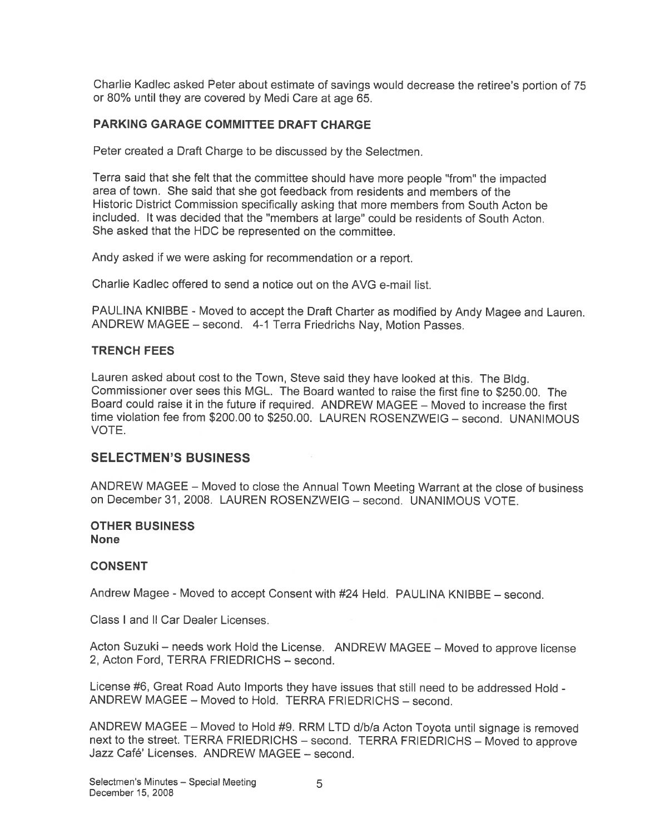Charlie Kadlec asked Peter about estimate of savings would decrease the retiree's portion of <sup>75</sup> or 80% until they are covered by Medi Care at age 65.

#### PARKING GARAGE COMMITTEE DRAFT CHARGE

Peter created <sup>a</sup> Draft Charge to be discussed by the Selectmen.

Terra said that she felt that the committee should have more people "from" the impacted area of town. She said that she go<sup>t</sup> feedback from residents and members of the Historic District Commission specifically asking that more members from South Acton be included. It was decided that the "members at large' could be residents of South Acton. She asked that the HDC be represented on the committee.

Andy asked if we were asking for recommendation or <sup>a</sup> report.

Charlie Kadlec offered to send <sup>a</sup> notice out on the AVG e-mail list.

PAULINA KNIBBE - Moved to accep<sup>t</sup> the Draft Charter as modified by Andy Magee and Lauren. ANDREW MAGEE — second. 4-1 Terra Friedrichs Nay, Motion Passes.

#### TRENCH FEES

Lauren asked about cost to the Town, Steve said they have looked at this. The Bldg. Commissioner over sees this MGL. The Board wanted to raise the first fine to \$250.00. The Board could raise it in the future if required. ANDREW MAGEE — Moved to increase the first time violation fee from \$200.00 to \$250.00. LAUREN ROSENZWEIG — second. UNANIMOUS VOTE.

#### SELECTMEN'S BUSINESS

ANDREW MAGEE — Moved to close the Annual Town Meeting Warrant at the close of business on December 31, 2008. LAUREN ROSENZWEIG — second. UNANIMOUS VOTE.

#### OTHER BUSINESS None

#### CONSENT

Andrew Magee - Moved to accep<sup>t</sup> Consent with #24 Held. PAULINA KNIBBE — second.

Class I and II Car Dealer Licenses.

Acton Suzuki — needs work Hold the License. ANDREW MAGEE — Moved to approve license 2, Acton Ford, TERRA FRIEDRICHS — second.

License #6, Great Road Auto Imports they have issues that still need to be addressed Hold - ANDREW MAGEE – Moved to Hold. TERRA FRIEDRICHS – second.

ANDREW MAGEE – Moved to Hold #9. RRM LTD d/b/a Acton Toyota until signage is removed next to the street. TERRA FRIEDRICHS — second. TERRA FRIEDRICHS — Moved to approve Jazz Café' Licenses. ANDREW MAGEE — second.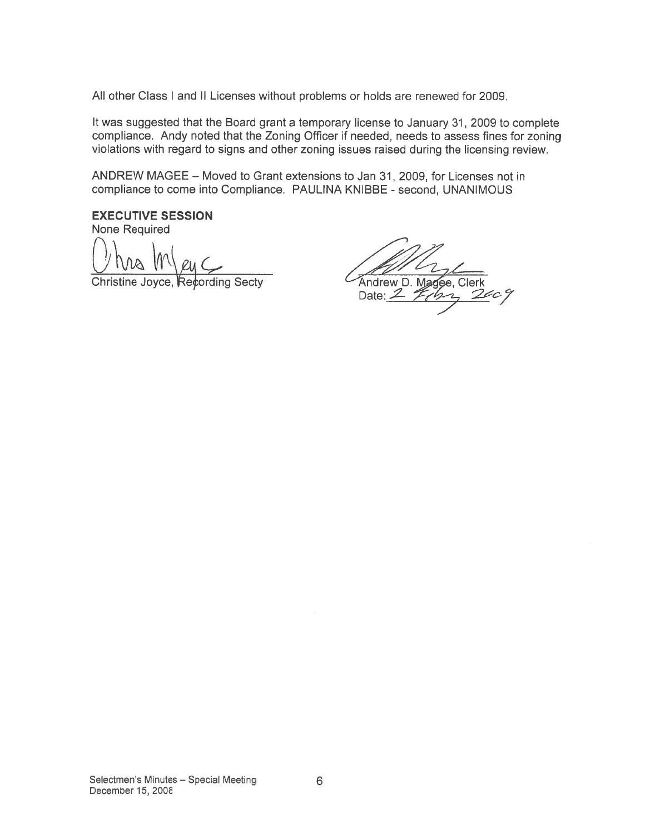All other Class I and II Licenses without problems or holds are renewed for 2009.

It was suggested that the Board gran<sup>t</sup> <sup>a</sup> temporary license to January 31, 2009 to complete compliance. Andy noted that the Zoning Officer if needed, needs to assess fines for zoning violations with regard to signs and other zoning issues raised during the licensing review.

ANDREW MAGEE — Moved to Grant extensions to Jan 31, 2009, for Licenses not in compliance to come into Compliance. PAULINA KNIBBE - second, UNANIMOUS

EXECUTIVE SESSION None Required

Christine Joyce, Recording Secty **Andrew D. Magee, Clerk** 

Date:  $2$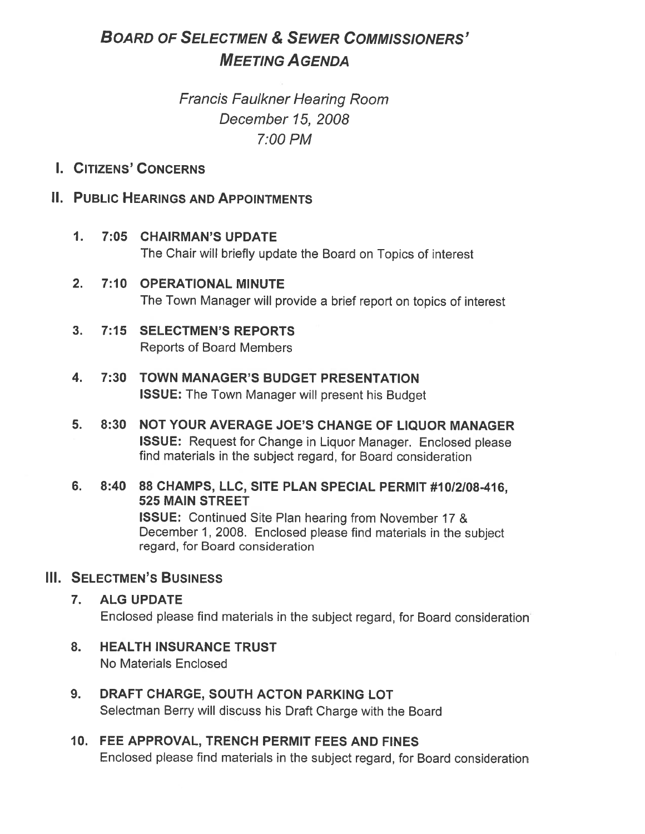# BOARD OF SELECTMEN & SEWER COMMISSIONERS' MEETING AGENDA

# Francis Faulkner Heating Room December 15, 2008 7:00PM

## I. CITIZENS' CONCERNS

## II. PUBLIC HEARINGS AND APPOINTMENTS

- 1. 7:05 CHAIRMAN'S UPDATE The Chair will briefly update the Board on Topics of interest
- 2. 7:10 OPERATIONAL MINUTE The Town Manager will provide <sup>a</sup> brief repor<sup>t</sup> on topics of interest
- 3. 7:15 SELECTMEN'S REPORTS Reports of Board Members
- 4. 7:30 TOWN MANAGER'S BUDGET PRESENTATION ISSUE: The Town Manager will presen<sup>t</sup> his Budget
- 5. 8:30 NOT YOUR AVERAGE JOE'S CHANGE OF LIQUOR MANAGER ISSUE: Request for Change in Liquor Manager. Enclosed <sup>p</sup>lease find materials in the subject regard, for Board consideration
- 6. 8:40 88 CHAMPS, LLC, SITE PLAN SPECIAL PERMIT #10/2/08-416, 525 MAIN STREET

ISSUE: Continued Site Plan hearing from November 17 & December 1, 2008. Enclosed <sup>p</sup>lease find materials in the subject regard, for Board consideration

## Ill. SELECTMEN'S BUSINESS

- 7. ALG UPDATE Enclosed <sup>p</sup>lease find materials in the subject regard, for Board consideration
- 8. HEALTH INSURANCE TRUST No Materials Enclosed
- 9. DRAFT CHARGE, SOUTH ACTON PARKING LOT Selectman Berry will discuss his Draft Charge with the Board
- 10. FEE APPROVAL, TRENCH PERMIT FEES AND FINES Enclosed <sup>p</sup>lease find materials in the subject regard, for Board consideration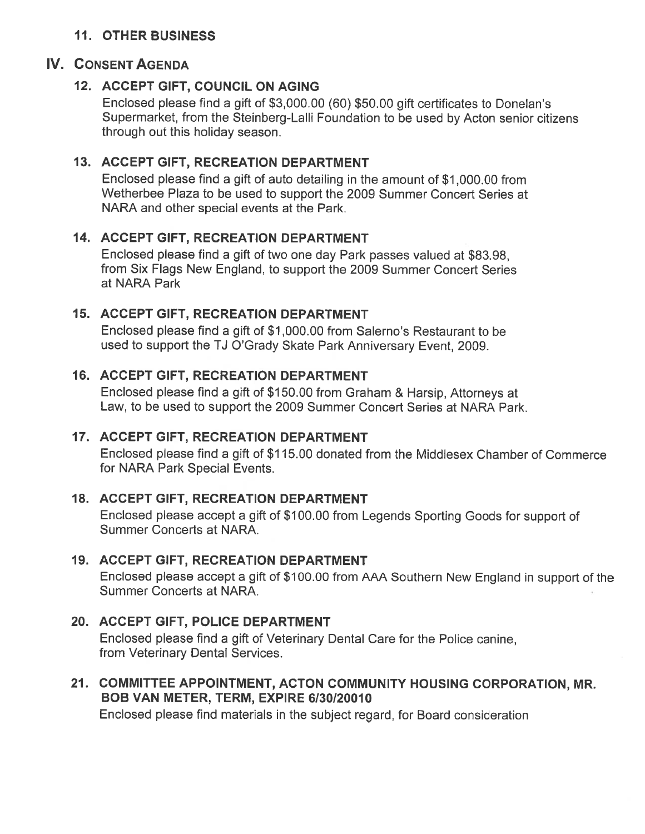## 11. OTHER BUSINESS

## IV. CONSENT AGENDA

## 12. ACCEPT GIFT, COUNCIL ON AGING

Enclosed <sup>p</sup>lease find <sup>a</sup> <sup>g</sup>ift of \$3,000.00 (60) \$50.00 <sup>g</sup>ift certificates to Donelan's Supermarket, from the Steinberg-Lalli Foundation to be used by Acton senior citizens through out this holiday season.

## 13. ACCEPT GIFT, RECREATION DEPARTMENT

Enclosed <sup>p</sup>lease find <sup>a</sup> <sup>g</sup>ift of auto detailing in the amount of \$1,000.00 from Wetherbee Plaza to be used to suppor<sup>t</sup> the 2009 Summer Concert Series at NARA and other special events at the Park.

## 14. ACCEPT GIFT, RECREATION DEPARTMENT

Enclosed <sup>p</sup>lease find <sup>a</sup> <sup>g</sup>ift of two one day Park passes valued at \$83.98, from Six Flags New England, to suppor<sup>t</sup> the 2009 Summer Concert Series at NARA Park

## 15. ACCEPT GIFT, RECREATION DEPARTMENT

Enclosed please find <sup>a</sup> gift of \$1,000.00 from Salerno's Restaurant to be used to suppor<sup>t</sup> the TJ O'Grady Skate Park Anniversary Event, 2009.

## 16. ACCEPT GIFT, RECREATION DEPARTMENT

Enclosed <sup>p</sup>lease find <sup>a</sup> <sup>g</sup>ift of \$150.00 from Graham & Harsip, Attorneys at Law, to be used to suppor<sup>t</sup> the 2009 Summer Concert Series at NARA Park.

## 17. ACCEPT GIFT, RECREATION DEPARTMENT

Enclosed please find <sup>a</sup> gift of \$1 15.00 donated from the Middlesex Chamber of Commerce for NARA Park Special Events.

## 18. ACCEPT GIFT, RECREATION DEPARTMENT

Enclosed <sup>p</sup>lease accep<sup>t</sup> <sup>a</sup> <sup>g</sup>ift of \$100.00 from Legends Sporting Goods for suppor<sup>t</sup> of Summer Concerts at NARA.

## 19. ACCEPT GIFT, RECREATION DEPARTMENT

Enclosed <sup>p</sup>lease accep<sup>t</sup> <sup>a</sup> <sup>g</sup>ift of \$1 00.00 from AAA Southern New England in suppor<sup>t</sup> of the Summer Concerts at NARA.

## 20. ACCEPT GIFT, POLICE DEPARTMENT

Enclosed please find <sup>a</sup> gift of Veterinary Dental Care for the Police canine, from Veterinary Dental Services.

## 21. COMMITTEE APPOINTMENT, ACTON COMMUNITY HOUSING CORPORATION, MR. BOB VAN METER, TERM, EXPIRE 6130/20010

Enclosed please find materials in the subject regard, for Board consideration